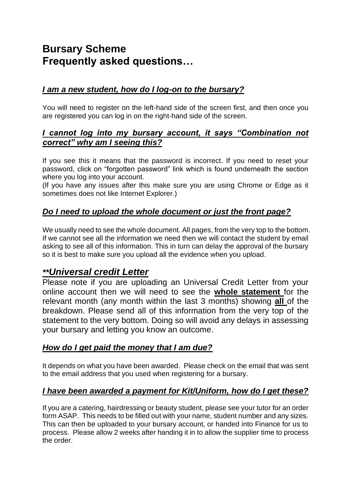# **Bursary Scheme Frequently asked questions…**

## *I am a new student, how do I log-on to the bursary?*

You will need to register on the left-hand side of the screen first, and then once you are registered you can log in on the right-hand side of the screen.

#### *I cannot log into my bursary account, it says "Combination not correct" why am I seeing this?*

If you see this it means that the password is incorrect. If you need to reset your password, click on "forgotten password" link which is found underneath the section where you log into your account.

(If you have any issues after this make sure you are using Chrome or Edge as it sometimes does not like Internet Explorer.)

## *Do I need to upload the whole document or just the front page?*

We usually need to see the whole document. All pages, from the very top to the bottom. If we cannot see all the information we need then we will contact the student by email asking to see all of this information. This in turn can delay the approval of the bursary so it is best to make sure you upload all the evidence when you upload.

## *\*\*Universal credit Letter*

Please note if you are uploading an Universal Credit Letter from your online account then we will need to see the **whole statement** for the relevant month (any month within the last 3 months) showing **all** of the breakdown. Please send all of this information from the very top of the statement to the very bottom. Doing so will avoid any delays in assessing your bursary and letting you know an outcome.

#### *How do I get paid the money that I am due?*

It depends on what you have been awarded. Please check on the email that was sent to the email address that you used when registering for a bursary.

## *I have been awarded a payment for Kit/Uniform, how do I get these?*

If you are a catering, hairdressing or beauty student, please see your tutor for an order form ASAP. This needs to be filled out with your name, student number and any sizes. This can then be uploaded to your bursary account, or handed into Finance for us to process. Please allow 2 weeks after handing it in to allow the supplier time to process the order.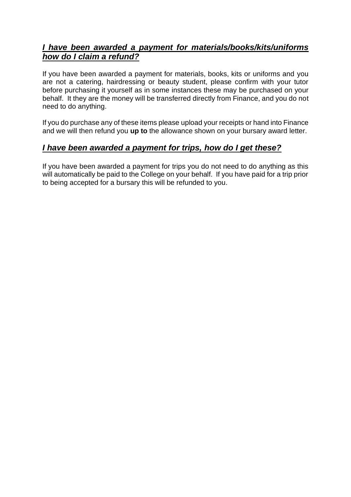## *I have been awarded a payment for materials/books/kits/uniforms how do I claim a refund?*

If you have been awarded a payment for materials, books, kits or uniforms and you are not a catering, hairdressing or beauty student, please confirm with your tutor before purchasing it yourself as in some instances these may be purchased on your behalf. It they are the money will be transferred directly from Finance, and you do not need to do anything.

If you do purchase any of these items please upload your receipts or hand into Finance and we will then refund you **up to** the allowance shown on your bursary award letter.

#### *I have been awarded a payment for trips, how do I get these?*

If you have been awarded a payment for trips you do not need to do anything as this will automatically be paid to the College on your behalf. If you have paid for a trip prior to being accepted for a bursary this will be refunded to you.